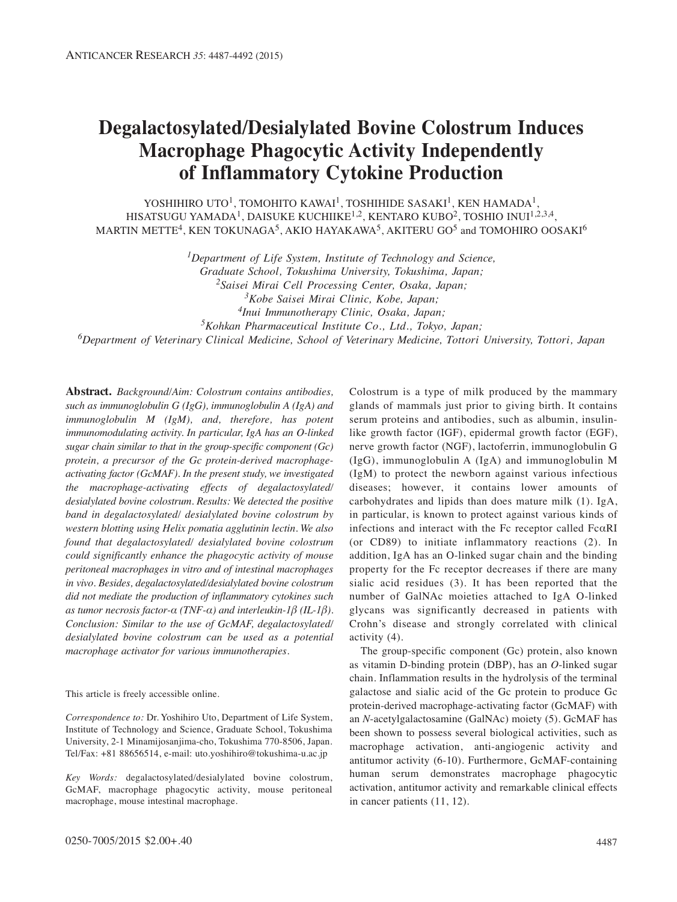# **Degalactosylated/Desialylated Bovine Colostrum Induces Macrophage Phagocytic Activity Independently of Inflammatory Cytokine Production**

YOSHIHIRO UTO<sup>1</sup>, TOMOHITO KAWAI<sup>1</sup>, TOSHIHIDE SASAKI<sup>1</sup>, KEN HAMADA<sup>1</sup>, HISATSUGU YAMADA<sup>1</sup>, DAISUKE KUCHIIKE<sup>1,2</sup>, KENTARO KUBO<sup>2</sup>, TOSHIO INUI<sup>1,2,3,4</sup>, MARTIN METTE<sup>4</sup>, KEN TOKUNAGA<sup>5</sup>, AKIO HAYAKAWA<sup>5</sup>, AKITERU GO<sup>5</sup> and TOMOHIRO OOSAKI<sup>6</sup>

*1Department of Life System, Institute of Technology and Science, Graduate School, Tokushima University, Tokushima, Japan; 2Saisei Mirai Cell Processing Center, Osaka, Japan; 3Kobe Saisei Mirai Clinic, Kobe, Japan; 4Inui Immunotherapy Clinic, Osaka, Japan; 5Kohkan Pharmaceutical Institute Co., Ltd., Tokyo, Japan; 6Department of Veterinary Clinical Medicine, School of Veterinary Medicine, Tottori University, Tottori, Japan*

**Abstract.** *Background/Aim: Colostrum contains antibodies, such as immunoglobulin G (IgG), immunoglobulin A (IgA) and immunoglobulin M (IgM), and, therefore, has potent immunomodulating activity. In particular, IgA has an O-linked sugar chain similar to that in the group-specific component (Gc) protein, a precursor of the Gc protein-derived macrophageactivating factor (GcMAF). In the present study, we investigated the macrophage-activating effects of degalactosylated/ desialylated bovine colostrum. Results: We detected the positive band in degalactosylated/ desialylated bovine colostrum by western blotting using Helix pomatia agglutinin lectin. We also found that degalactosylated/ desialylated bovine colostrum could significantly enhance the phagocytic activity of mouse peritoneal macrophages in vitro and of intestinal macrophages in vivo. Besides, degalactosylated/desialylated bovine colostrum did not mediate the production of inflammatory cytokines such as tumor necrosis factor-α (TNF-α) and interleukin-1β (IL-1β). Conclusion: Similar to the use of GcMAF, degalactosylated/ desialylated bovine colostrum can be used as a potential macrophage activator for various immunotherapies.*

This article is freely accessible online.

*Correspondence to:* Dr. Yoshihiro Uto, Department of Life System, Institute of Technology and Science, Graduate School, Tokushima University, 2-1 Minamijosanjima-cho, Tokushima 770-8506, Japan. Tel/Fax: +81 88656514, e-mail: uto.yoshihiro@tokushima-u.ac.jp

*Key Words:* degalactosylated/desialylated bovine colostrum, GcMAF, macrophage phagocytic activity, mouse peritoneal macrophage, mouse intestinal macrophage.

Colostrum is a type of milk produced by the mammary glands of mammals just prior to giving birth. It contains serum proteins and antibodies, such as albumin, insulinlike growth factor (IGF), epidermal growth factor (EGF), nerve growth factor (NGF), lactoferrin, immunoglobulin G (IgG), immunoglobulin A (IgA) and immunoglobulin M (IgM) to protect the newborn against various infectious diseases; however, it contains lower amounts of carbohydrates and lipids than does mature milk (1). IgA, in particular, is known to protect against various kinds of infections and interact with the Fc receptor called FcαRI (or CD89) to initiate inflammatory reactions (2). In addition, IgA has an O-linked sugar chain and the binding property for the Fc receptor decreases if there are many sialic acid residues (3). It has been reported that the number of GalNAc moieties attached to IgA O-linked glycans was significantly decreased in patients with Crohn's disease and strongly correlated with clinical activity (4).

The group-specific component (Gc) protein, also known as vitamin D-binding protein (DBP), has an *O*-linked sugar chain. Inflammation results in the hydrolysis of the terminal galactose and sialic acid of the Gc protein to produce Gc protein-derived macrophage-activating factor (GcMAF) with an *N*-acetylgalactosamine (GalNAc) moiety (5). GcMAF has been shown to possess several biological activities, such as macrophage activation, anti-angiogenic activity and antitumor activity (6-10). Furthermore, GcMAF-containing human serum demonstrates macrophage phagocytic activation, antitumor activity and remarkable clinical effects in cancer patients (11, 12).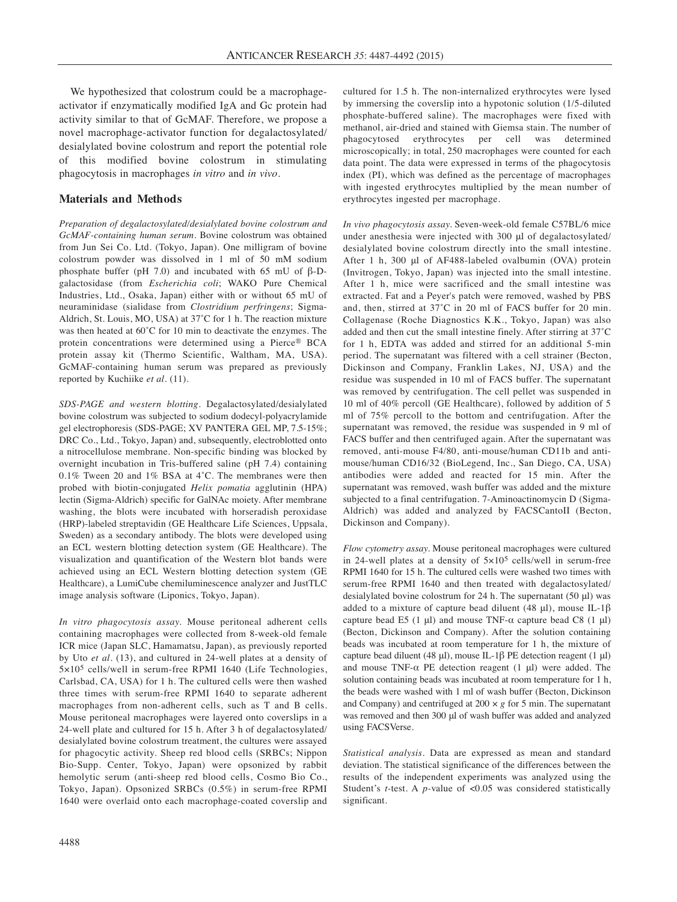We hypothesized that colostrum could be a macrophageactivator if enzymatically modified IgA and Gc protein had activity similar to that of GcMAF. Therefore, we propose a novel macrophage-activator function for degalactosylated/ desialylated bovine colostrum and report the potential role of this modified bovine colostrum in stimulating phagocytosis in macrophages *in vitro* and *in vivo*.

# **Materials and Methods**

*Preparation of degalactosylated/desialylated bovine colostrum and GcMAF-containing human serum.* Bovine colostrum was obtained from Jun Sei Co. Ltd. (Tokyo, Japan). One milligram of bovine colostrum powder was dissolved in 1 ml of 50 mM sodium phosphate buffer (pH 7.0) and incubated with 65 mU of β-Dgalactosidase (from *Escherichia coli*; WAKO Pure Chemical Industries, Ltd., Osaka, Japan) either with or without 65 mU of neuraminidase (sialidase from *Clostridium perfringens*; Sigma-Aldrich, St. Louis, MO, USA) at 37˚C for 1 h. The reaction mixture was then heated at 60˚C for 10 min to deactivate the enzymes. The protein concentrations were determined using a Pierce® BCA protein assay kit (Thermo Scientific, Waltham, MA, USA). GcMAF-containing human serum was prepared as previously reported by Kuchiike *et al.* (11).

*SDS-PAGE and western blotting.* Degalactosylated/desialylated bovine colostrum was subjected to sodium dodecyl-polyacrylamide gel electrophoresis (SDS-PAGE; XV PANTERA GEL MP, 7.5-15%; DRC Co., Ltd., Tokyo, Japan) and, subsequently, electroblotted onto a nitrocellulose membrane. Non-specific binding was blocked by overnight incubation in Tris-buffered saline (pH 7.4) containing 0.1% Tween 20 and 1% BSA at 4˚C. The membranes were then probed with biotin-conjugated *Helix pomatia* agglutinin (HPA) lectin (Sigma-Aldrich) specific for GalNAc moiety. After membrane washing, the blots were incubated with horseradish peroxidase (HRP)-labeled streptavidin (GE Healthcare Life Sciences, Uppsala, Sweden) as a secondary antibody. The blots were developed using an ECL western blotting detection system (GE Healthcare). The visualization and quantification of the Western blot bands were achieved using an ECL Western blotting detection system (GE Healthcare), a LumiCube chemiluminescence analyzer and JustTLC image analysis software (Liponics, Tokyo, Japan).

*In vitro phagocytosis assay.* Mouse peritoneal adherent cells containing macrophages were collected from 8-week-old female ICR mice (Japan SLC, Hamamatsu, Japan), as previously reported by Uto *et al.* (13), and cultured in 24-well plates at a density of 5×105 cells/well in serum-free RPMI 1640 (Life Technologies, Carlsbad, CA, USA) for 1 h. The cultured cells were then washed three times with serum-free RPMI 1640 to separate adherent macrophages from non-adherent cells, such as T and B cells. Mouse peritoneal macrophages were layered onto coverslips in a 24-well plate and cultured for 15 h. After 3 h of degalactosylated/ desialylated bovine colostrum treatment, the cultures were assayed for phagocytic activity. Sheep red blood cells (SRBCs; Nippon Bio-Supp. Center, Tokyo, Japan) were opsonized by rabbit hemolytic serum (anti-sheep red blood cells, Cosmo Bio Co., Tokyo, Japan). Opsonized SRBCs (0.5%) in serum-free RPMI 1640 were overlaid onto each macrophage-coated coverslip and cultured for 1.5 h. The non-internalized erythrocytes were lysed by immersing the coverslip into a hypotonic solution (1/5-diluted phosphate-buffered saline). The macrophages were fixed with methanol, air-dried and stained with Giemsa stain. The number of phagocytosed erythrocytes per cell was determined erythrocytes per cell was microscopically; in total, 250 macrophages were counted for each data point. The data were expressed in terms of the phagocytosis index (PI), which was defined as the percentage of macrophages with ingested erythrocytes multiplied by the mean number of erythrocytes ingested per macrophage.

*In vivo phagocytosis assay.* Seven-week-old female C57BL/6 mice under anesthesia were injected with 300 μl of degalactosylated/ desialylated bovine colostrum directly into the small intestine. After 1 h, 300 μl of AF488-labeled ovalbumin (OVA) protein (Invitrogen, Tokyo, Japan) was injected into the small intestine. After 1 h, mice were sacrificed and the small intestine was extracted. Fat and a Peyer's patch were removed, washed by PBS and, then, stirred at 37˚C in 20 ml of FACS buffer for 20 min. Collagenase (Roche Diagnostics K.K., Tokyo, Japan) was also added and then cut the small intestine finely. After stirring at 37˚C for 1 h, EDTA was added and stirred for an additional 5-min period. The supernatant was filtered with a cell strainer (Becton, Dickinson and Company, Franklin Lakes, NJ, USA) and the residue was suspended in 10 ml of FACS buffer. The supernatant was removed by centrifugation. The cell pellet was suspended in 10 ml of 40% percoll (GE Healthcare), followed by addition of 5 ml of 75% percoll to the bottom and centrifugation. After the supernatant was removed, the residue was suspended in 9 ml of FACS buffer and then centrifuged again. After the supernatant was removed, anti-mouse F4/80, anti-mouse/human CD11b and antimouse/human CD16/32 (BioLegend, Inc., San Diego, CA, USA) antibodies were added and reacted for 15 min. After the supernatant was removed, wash buffer was added and the mixture subjected to a final centrifugation. 7-Aminoactinomycin D (Sigma-Aldrich) was added and analyzed by FACSCantoII (Becton, Dickinson and Company).

*Flow cytometry assay.* Mouse peritoneal macrophages were cultured in 24-well plates at a density of 5×105 cells/well in serum-free RPMI 1640 for 15 h. The cultured cells were washed two times with serum-free RPMI 1640 and then treated with degalactosylated/ desialylated bovine colostrum for 24 h. The supernatant (50 μl) was added to a mixture of capture bead diluent (48 μl), mouse IL-1 $\beta$ capture bead E5 (1  $\mu$ l) and mouse TNF- $\alpha$  capture bead C8 (1  $\mu$ l) (Becton, Dickinson and Company). After the solution containing beads was incubated at room temperature for 1 h, the mixture of capture bead diluent (48 μl), mouse IL-1β PE detection reagent (1 μl) and mouse TNF- $\alpha$  PE detection reagent (1  $\mu$ I) were added. The solution containing beads was incubated at room temperature for 1 h, the beads were washed with 1 ml of wash buffer (Becton, Dickinson and Company) and centrifuged at  $200 \times g$  for 5 min. The supernatant was removed and then 300 μl of wash buffer was added and analyzed using FACSVerse.

*Statistical analysis.* Data are expressed as mean and standard deviation. The statistical significance of the differences between the results of the independent experiments was analyzed using the Student's *t-*test. A *p-*value of <0.05 was considered statistically significant.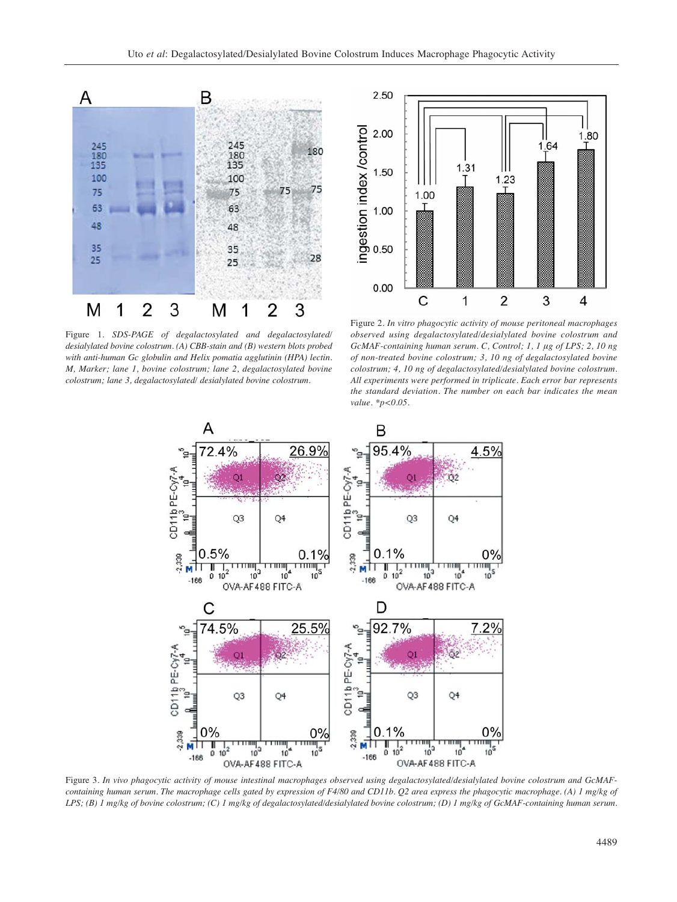

Figure 1. *SDS-PAGE of degalactosylated and degalactosylated/ desialylated bovine colostrum. (A) CBB-stain and (B) western blots probed with anti-human Gc globulin and Helix pomatia agglutinin (HPA) lectin. M, Marker; lane 1, bovine colostrum; lane 2, degalactosylated bovine colostrum; lane 3, degalactosylated/ desialylated bovine colostrum.*



Figure 2. *In vitro phagocytic activity of mouse peritoneal macrophages observed using degalactosylated/desialylated bovine colostrum and GcMAF-containing human serum. C, Control; 1, 1 μg of LPS; 2, 10 ng of non-treated bovine colostrum; 3, 10 ng of degalactosylated bovine colostrum; 4, 10 ng of degalactosylated/desialylated bovine colostrum. All experiments were performed in triplicate. Each error bar represents the standard deviation. The number on each bar indicates the mean value. \*p<0.05.*



Figure 3. *In vivo phagocytic activity of mouse intestinal macrophages observed using degalactosylated/desialylated bovine colostrum and GcMAFcontaining human serum. The macrophage cells gated by expression of F4/80 and CD11b. Q2 area express the phagocytic macrophage. (A) 1 mg/kg of LPS; (B) 1 mg/kg of bovine colostrum; (C) 1 mg/kg of degalactosylated/desialylated bovine colostrum; (D) 1 mg/kg of GcMAF-containing human serum.*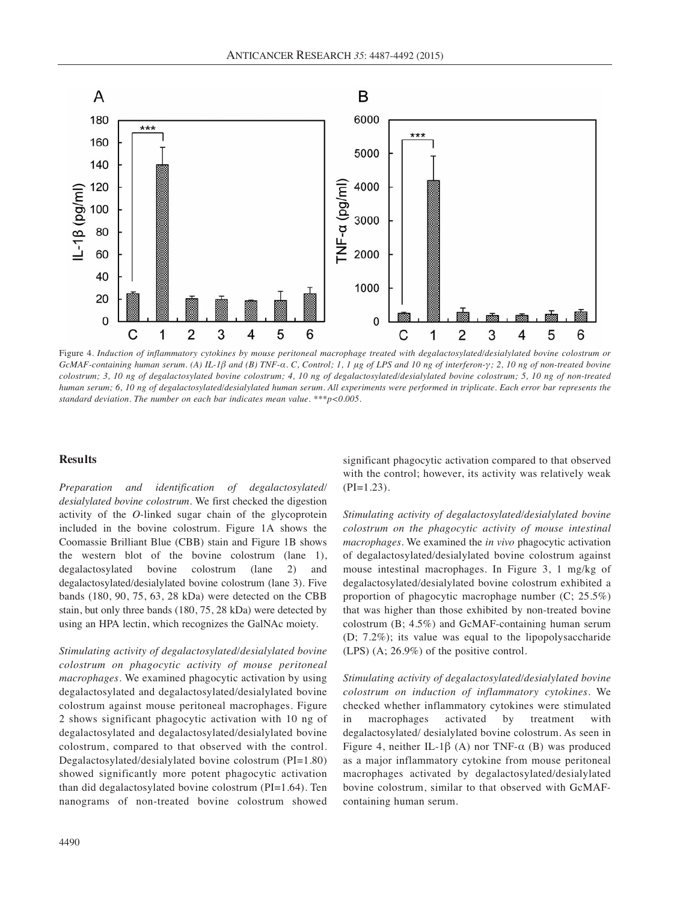

Figure 4*. Induction of inflammatory cytokines by mouse peritoneal macrophage treated with degalactosylated/desialylated bovine colostrum or GcMAF-containing human serum. (A) IL-1β and (B) TNF-α. C, Control; 1, 1 μg of LPS and 10 ng of interferon-γ; 2, 10 ng of non-treated bovine colostrum; 3, 10 ng of degalactosylated bovine colostrum; 4, 10 ng of degalactosylated/desialylated bovine colostrum; 5, 10 ng of non-treated human serum; 6, 10 ng of degalactosylated/desialylated human serum. All experiments were performed in triplicate. Each error bar represents the standard deviation. The number on each bar indicates mean value. \*\*\*p<0.005.*

## **Results**

*Preparation and identification of degalactosylated/ desialylated bovine colostrum.* We first checked the digestion activity of the *O*-linked sugar chain of the glycoprotein included in the bovine colostrum. Figure 1A shows the Coomassie Brilliant Blue (CBB) stain and Figure 1B shows the western blot of the bovine colostrum (lane 1), degalactosylated bovine colostrum (lane 2) and degalactosylated/desialylated bovine colostrum (lane 3). Five bands (180, 90, 75, 63, 28 kDa) were detected on the CBB stain, but only three bands (180, 75, 28 kDa) were detected by using an HPA lectin, which recognizes the GalNAc moiety.

*Stimulating activity of degalactosylated/desialylated bovine colostrum on phagocytic activity of mouse peritoneal macrophages.* We examined phagocytic activation by using degalactosylated and degalactosylated/desialylated bovine colostrum against mouse peritoneal macrophages. Figure 2 shows significant phagocytic activation with 10 ng of degalactosylated and degalactosylated/desialylated bovine colostrum, compared to that observed with the control. Degalactosylated/desialylated bovine colostrum (PI=1.80) showed significantly more potent phagocytic activation than did degalactosylated bovine colostrum (PI=1.64). Ten nanograms of non-treated bovine colostrum showed

significant phagocytic activation compared to that observed with the control; however, its activity was relatively weak  $(PI=1.23)$ .

*Stimulating activity of degalactosylated/desialylated bovine colostrum on the phagocytic activity of mouse intestinal macrophages.* We examined the *in vivo* phagocytic activation of degalactosylated/desialylated bovine colostrum against mouse intestinal macrophages. In Figure 3, 1 mg/kg of degalactosylated/desialylated bovine colostrum exhibited a proportion of phagocytic macrophage number (C; 25.5%) that was higher than those exhibited by non-treated bovine colostrum (B; 4.5%) and GcMAF-containing human serum (D; 7.2%); its value was equal to the lipopolysaccharide (LPS) (A; 26.9%) of the positive control.

*Stimulating activity of degalactosylated/desialylated bovine colostrum on induction of inflammatory cytokines.* We checked whether inflammatory cytokines were stimulated in macrophages activated by treatment with degalactosylated/ desialylated bovine colostrum. As seen in Figure 4, neither IL-1β (A) nor TNF-α (B) was produced as a major inflammatory cytokine from mouse peritoneal macrophages activated by degalactosylated/desialylated bovine colostrum, similar to that observed with GcMAFcontaining human serum.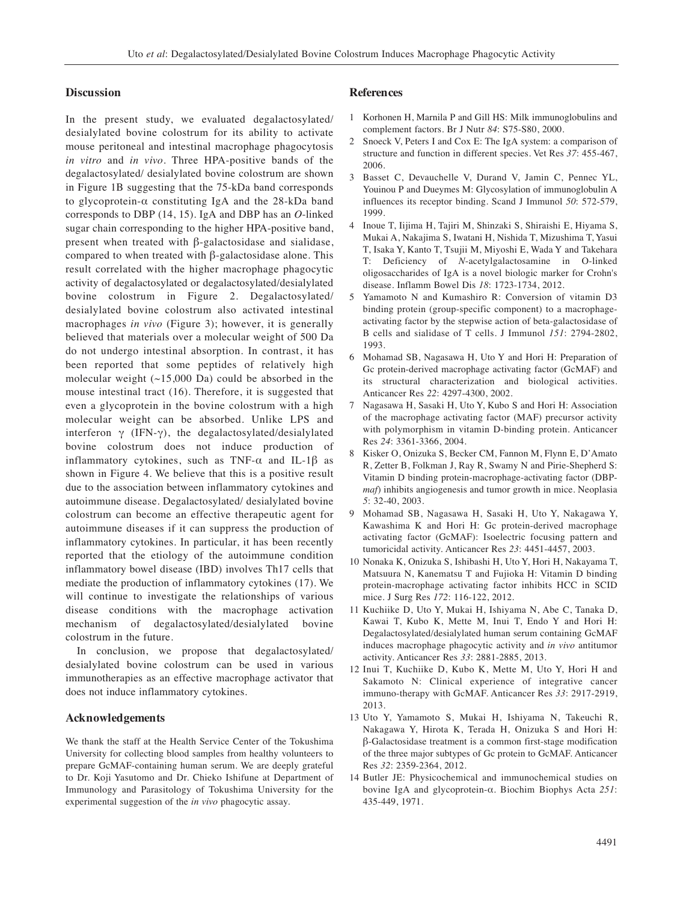### **Discussion**

In the present study, we evaluated degalactosylated/ desialylated bovine colostrum for its ability to activate mouse peritoneal and intestinal macrophage phagocytosis *in vitro* and *in vivo*. Three HPA-positive bands of the degalactosylated/ desialylated bovine colostrum are shown in Figure 1B suggesting that the 75-kDa band corresponds to glycoprotein-α constituting IgA and the 28-kDa band corresponds to DBP (14, 15). IgA and DBP has an *O*-linked sugar chain corresponding to the higher HPA-positive band, present when treated with β-galactosidase and sialidase, compared to when treated with β-galactosidase alone. This result correlated with the higher macrophage phagocytic activity of degalactosylated or degalactosylated/desialylated bovine colostrum in Figure 2. Degalactosylated/ desialylated bovine colostrum also activated intestinal macrophages *in vivo* (Figure 3); however, it is generally believed that materials over a molecular weight of 500 Da do not undergo intestinal absorption. In contrast, it has been reported that some peptides of relatively high molecular weight  $(\sim 15,000 \text{ Da})$  could be absorbed in the mouse intestinal tract (16). Therefore, it is suggested that even a glycoprotein in the bovine colostrum with a high molecular weight can be absorbed. Unlike LPS and interferon  $\gamma$  (IFN- $\gamma$ ), the degalactosylated/desialylated bovine colostrum does not induce production of inflammatory cytokines, such as TNF- $\alpha$  and IL-1 $\beta$  as shown in Figure 4. We believe that this is a positive result due to the association between inflammatory cytokines and autoimmune disease. Degalactosylated/ desialylated bovine colostrum can become an effective therapeutic agent for autoimmune diseases if it can suppress the production of inflammatory cytokines. In particular, it has been recently reported that the etiology of the autoimmune condition inflammatory bowel disease (IBD) involves Th17 cells that mediate the production of inflammatory cytokines (17). We will continue to investigate the relationships of various disease conditions with the macrophage activation mechanism of degalactosylated/desialylated bovine colostrum in the future.

In conclusion, we propose that degalactosylated/ desialylated bovine colostrum can be used in various immunotherapies as an effective macrophage activator that does not induce inflammatory cytokines.

### **Acknowledgements**

We thank the staff at the Health Service Center of the Tokushima University for collecting blood samples from healthy volunteers to prepare GcMAF-containing human serum. We are deeply grateful to Dr. Koji Yasutomo and Dr. Chieko Ishifune at Department of Immunology and Parasitology of Tokushima University for the experimental suggestion of the *in vivo* phagocytic assay.

#### **References**

- 1 Korhonen H, Marnila P and Gill HS: Milk immunoglobulins and complement factors. Br J Nutr *84*: S75-S80, 2000.
- 2 Snoeck V, Peters I and Cox E: The IgA system: a comparison of structure and function in different species. Vet Res *37*: 455-467, 2006.
- 3 Basset C, Devauchelle V, Durand V, Jamin C, Pennec YL, Youinou P and Dueymes M: Glycosylation of immunoglobulin A influences its receptor binding. Scand J Immunol *50*: 572-579, 1999.
- 4 Inoue T, Iijima H, Tajiri M, Shinzaki S, Shiraishi E, Hiyama S, Mukai A, Nakajima S, Iwatani H, Nishida T, Mizushima T, Yasui T, Isaka Y, Kanto T, Tsujii M, Miyoshi E, Wada Y and Takehara T: Deficiency of *N*-acetylgalactosamine in O-linked oligosaccharides of IgA is a novel biologic marker for Crohn's disease. Inflamm Bowel Dis *18*: 1723-1734, 2012.
- 5 Yamamoto N and Kumashiro R: Conversion of vitamin D3 binding protein (group-specific component) to a macrophageactivating factor by the stepwise action of beta-galactosidase of B cells and sialidase of T cells. J Immunol *151*: 2794-2802, 1993.
- 6 Mohamad SB, Nagasawa H, Uto Y and Hori H: Preparation of Gc protein-derived macrophage activating factor (GcMAF) and its structural characterization and biological activities. Anticancer Res *22*: 4297-4300, 2002.
- 7 Nagasawa H, Sasaki H, Uto Y, Kubo S and Hori H: Association of the macrophage activating factor (MAF) precursor activity with polymorphism in vitamin D-binding protein. Anticancer Res *24*: 3361-3366, 2004.
- 8 Kisker O, Onizuka S, Becker CM, Fannon M, Flynn E, D'Amato R, Zetter B, Folkman J, Ray R, Swamy N and Pirie-Shepherd S: Vitamin D binding protein-macrophage-activating factor (DBP*maf*) inhibits angiogenesis and tumor growth in mice. Neoplasia *5*: 32-40, 2003.
- 9 Mohamad SB, Nagasawa H, Sasaki H, Uto Y, Nakagawa Y, Kawashima K and Hori H: Gc protein-derived macrophage activating factor (GcMAF): Isoelectric focusing pattern and tumoricidal activity. Anticancer Res *23*: 4451-4457, 2003.
- 10 Nonaka K, Onizuka S, Ishibashi H, Uto Y, Hori H, Nakayama T, Matsuura N, Kanematsu T and Fujioka H: Vitamin D binding protein-macrophage activating factor inhibits HCC in SCID mice. J Surg Res *172*: 116-122, 2012.
- 11 Kuchiike D, Uto Y, Mukai H, Ishiyama N, Abe C, Tanaka D, Kawai T, Kubo K, Mette M, Inui T, Endo Y and Hori H: Degalactosylated/desialylated human serum containing GcMAF induces macrophage phagocytic activity and *in vivo* antitumor activity. Anticancer Res *33*: 2881-2885, 2013.
- 12 Inui T, Kuchiike D, Kubo K, Mette M, Uto Y, Hori H and Sakamoto N: Clinical experience of integrative cancer immuno-therapy with GcMAF. Anticancer Res *33*: 2917-2919, 2013.
- 13 Uto Y, Yamamoto S, Mukai H, Ishiyama N, Takeuchi R, Nakagawa Y, Hirota K, Terada H, Onizuka S and Hori H: β-Galactosidase treatment is a common first-stage modification of the three major subtypes of Gc protein to GcMAF. Anticancer Res *32*: 2359-2364, 2012.
- 14 Butler JE: Physicochemical and immunochemical studies on bovine IgA and glycoprotein-α. Biochim Biophys Acta *251*: 435-449, 1971.